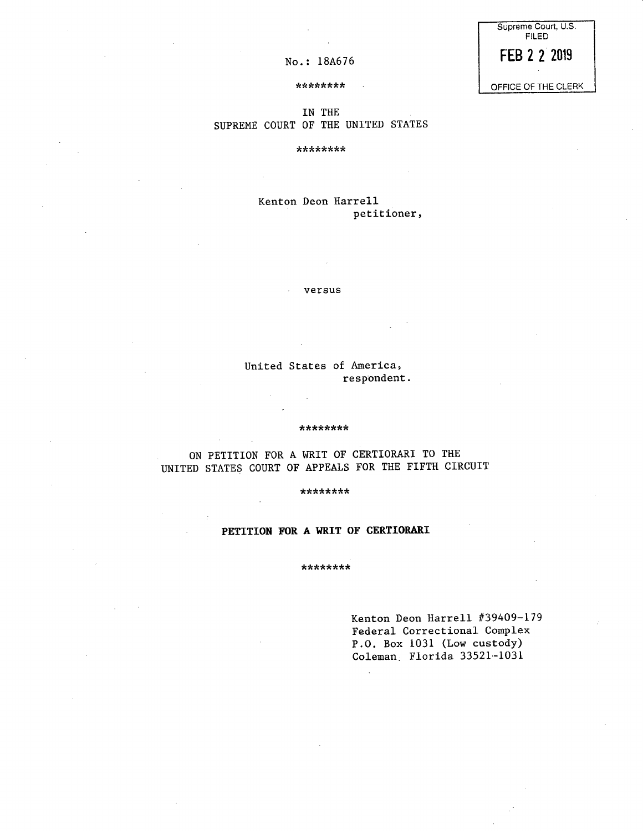| Supreme Court, U.S.<br>FILED |  |
|------------------------------|--|
| FEB 2 2 2019                 |  |

 $No.: 18A676$ 

OFFICE OF THE CLERK

#### \*\*\*\*\*\*\*\*

### IN THE SUPREME COURT OF THE UNITED STATES

\*\*\*\*\*\*\*\*

### Kenton Deon Harrell petitioner,

versus

United States of America, respondent.

#### \*\*\*\*\*\*\*\*

ON PETITION FOR A WRIT OF CERTIORARI TO THE UNITED STATES COURT OF APPEALS FOR THE FIFTH CIRCUIT

\*\*\*\*\*\*\*\*

## **PETITION FOR A WRIT OF CERTIORARI**

\*\*\*\*\*\*\*\*

Kenton Deon Harrell #39409-179 Federal Correctional Complex P.O. Box 1031 (Low custody) Coleman. Florida 33521-1031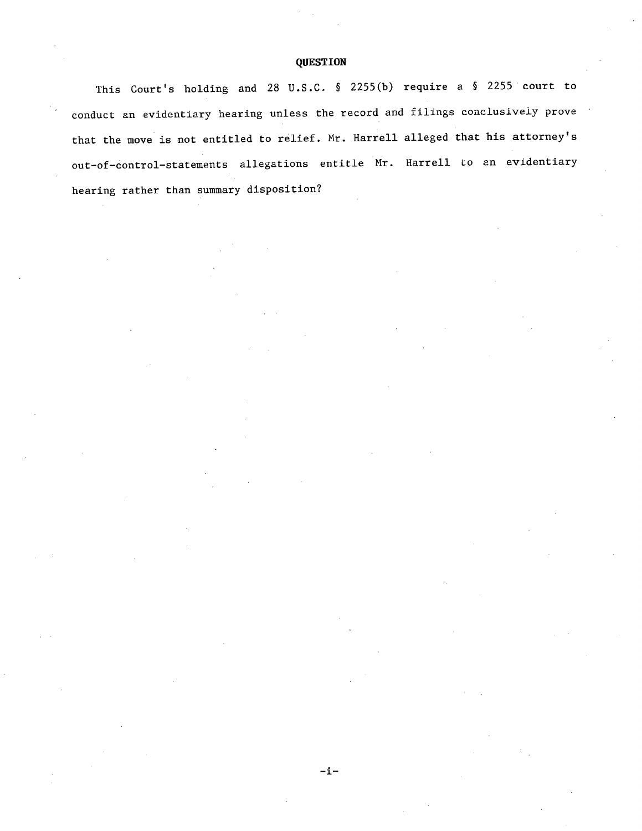### **QUESTION**

This Court's holding and 28 U.S.C. § 2255(b) require a § 2255 court to conduct an evidentiary hearing unless the record and filings conclusively prove that the move is not entitled to relief. Mr. Harrell alleged that his attorney's out-of-control-statements allegations entitle Mr. Harrell to an evidentiary hearing rather than summary disposition?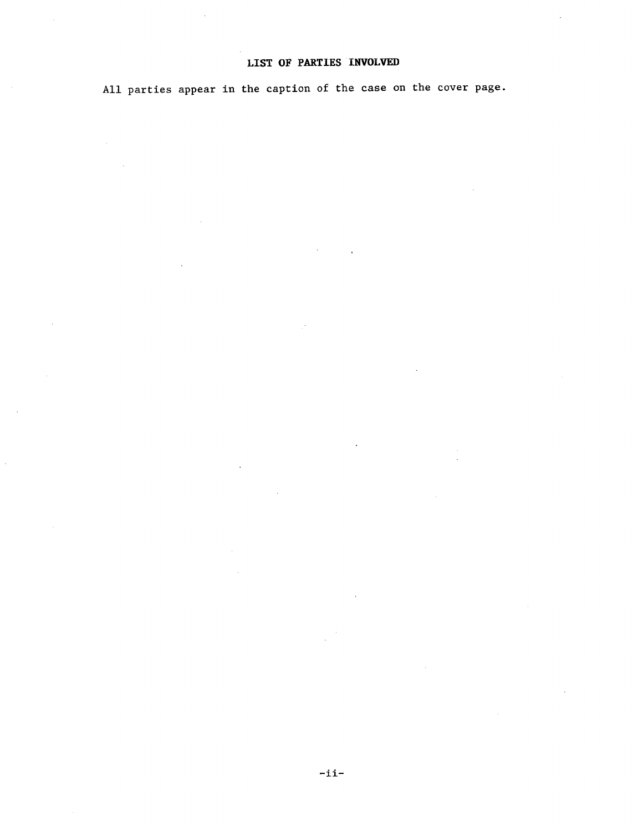# **LIST OF** PARTIES INVOLVED

All parties appear in the caption of the case on the cover page.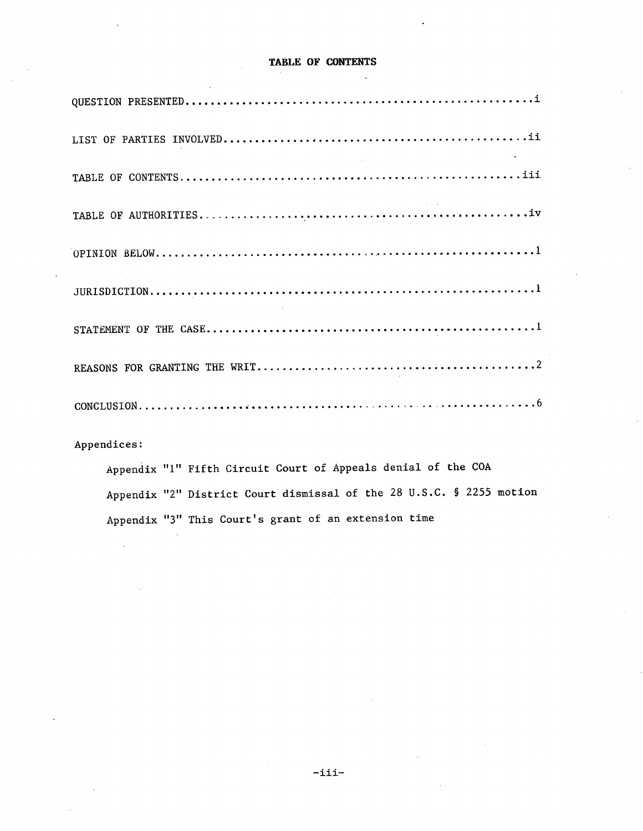### **TABLE OF CONTENTS**

| $\mathcal{L}(\mathcal{L}(\mathcal{L}))$ and $\mathcal{L}(\mathcal{L}(\mathcal{L}))$ . The contribution of the contribution of $\mathcal{L}(\mathcal{L}(\mathcal{L}))$ |
|-----------------------------------------------------------------------------------------------------------------------------------------------------------------------|
|                                                                                                                                                                       |
|                                                                                                                                                                       |
|                                                                                                                                                                       |
|                                                                                                                                                                       |
|                                                                                                                                                                       |
|                                                                                                                                                                       |
|                                                                                                                                                                       |

Appendices:

Appendix "1" Fifth Circuit Court of Appeals denial of the COA Appendix "2" District Court dismissal of the 28 U.S.C. § 2255 motion Appendix "3" This Court's grant of an extension time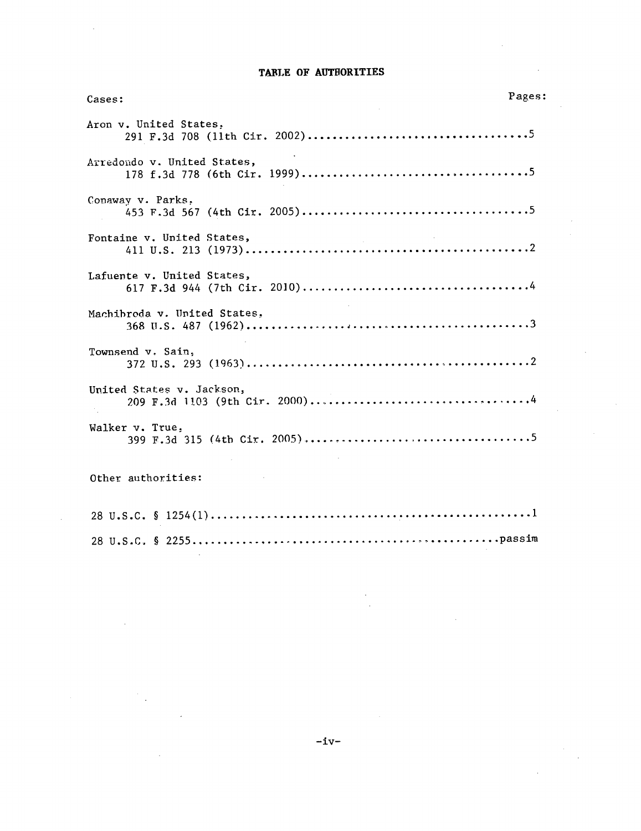### TABLE OF AUTHORITIES

| Cases:                       | Pages: |
|------------------------------|--------|
| Aron v. United States,       |        |
| Arredondo v. United States,  |        |
| Conaway v. Parks,            |        |
| Fontaine v. United States,   |        |
| Lafuente v. United States,   |        |
| Machibroda v. United States, |        |
| Townsend v. Sain,            |        |
| United States v. Jackson,    |        |
| Walker v. True,              |        |
| Other authorities:           |        |
|                              |        |
|                              |        |

 $\bar{\beta}$ 

 $\mathcal{A}^{\mathcal{A}}$  $\bar{z}$ 

 $\sim$   $\sim$ 

 $\frac{1}{2} \frac{1}{2}$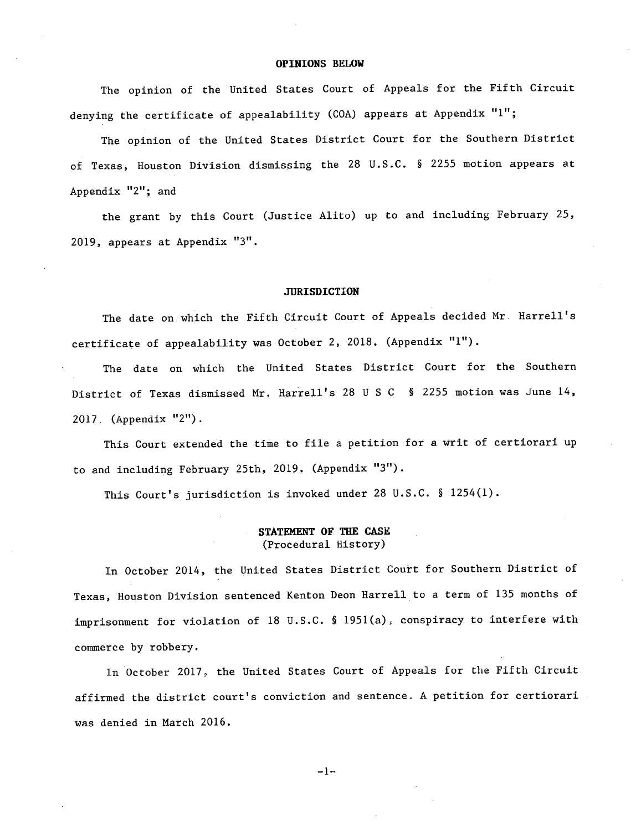#### **OPINIONS BELOW**

The opinion of the United States Court of Appeals for the Fifth Circuit denying the certificate of appealability (COA) appears at Appendix "1";

The opinion of the United States District Court for the Southern District of Texas, Houston Division dismissing the 28 U.S.C. § 2255 motion appears at Appendix "2"; and

the grant by this Court (Justice Alito) up to and including February 25, 2019, appears at Appendix "3".

### **JURISDICTION**

The date on which the Fifth Circuit Court of Appeals decided Mr. Harrell's certificate of appealability was October 2, 2018. (Appendix **"1").** 

The date on which the United States District Court for the Southern District of Texas dismissed Mr. Harrell's 28 U S C § 2255 motion was June 14, 2017. (Appendix "2").

This Court extended the time to file a petition for a writ of certiorari up to and including February 25th, 2019. (Appendix "3").

This Court's jurisdiction is invoked under 28 U.S.C. § 1254(1).

### **STATEMENT OF THE** CASE (Procedural History)

In October 2014, the United States District Court for Southern District of Texas, Houston Division sentenced Kenton Deon Harrell to a term of 135 months of imprisonment for violation of 18 U.S.C. § 1951(a), conspiracy to interfere with commerce by robbery.

In October 2017, the United States Court of Appeals for the Fifth Circuit affirmed the district court's conviction and sentence. A petition for certiorari was denied in March 2016.

 $-1-$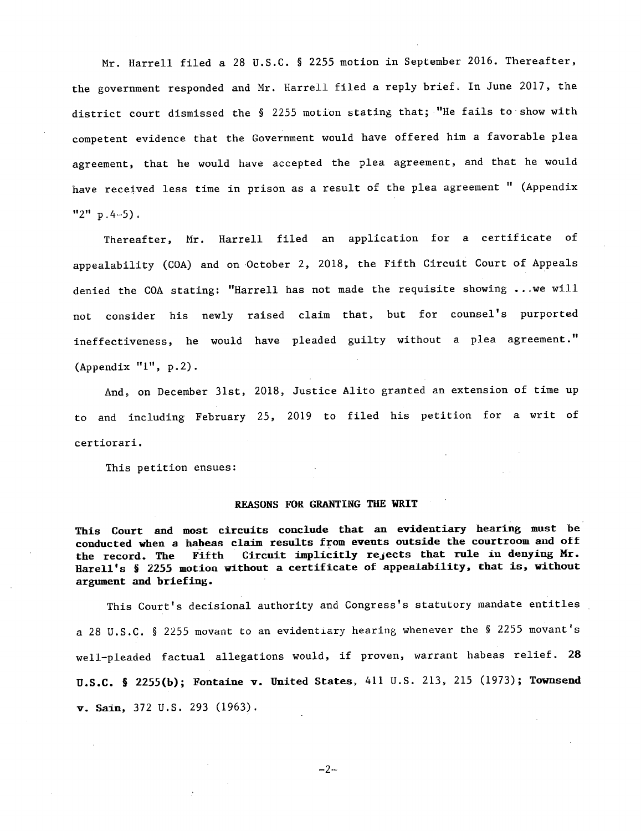Mr. Harrell filed a 28 U.S.C. § 2255 motion in September 2016. Thereafter, the government responded and Mr. Harrell filed a reply brief, In June 2017, the district court dismissed the § 2255 motion stating that; "He fails to show with competent evidence that the Government would have offered him a favorable plea agreement, that he would have accepted the plea agreement, and that he would have received less time in prison as a result of the plea agreement " (Appendix  $"2" p.4-5$ .

Thereafter, Mr. Harrell filed an application for a certificate of appealability (COA) and on October 2, 2018, the Fifth Circuit Court of Appeals denied the COA stating: "Harrell has not made the requisite showing ...we will not consider his newly raised claim that, but for counsel's purported ineffectiveness, he would have pleaded guilty without a plea agreement." (Appendix **"1",** p.2).

And, on December 31st, 2018, Justice Alito granted an extension of time up to and including February 25, 2019 to filed his petition for a writ of certiorari.

This petition ensues:

#### **REASONS FOR GRANTING** THE **WRIT**

**This Court** and **most circuits conclude that an evidentiary hearing must be conducted when a habeas claim results** from **events outside the courtroom and** *off*  **the record. The Fifth Circuit implicitly rejects that rule in denying Mr. Harell's S 2255 motion without a certificate of appealability, that is, without argument** and **briefing.** 

This Court's decisional authority and Congress's statutory mandate entitles a 28 U.S.C. § 2255 movant to an evidentiary hearing whenever the § 2255 movant's well-pleaded factual allegations would, if proven, warrant habeas relief. **28 U.S.C.** § **2255(b); Fontaine v. United States, 411** U.S. 213, 215 (1973); **Townsend v. Sam,** 372 U.S. 293 (1963).

$$
-2-
$$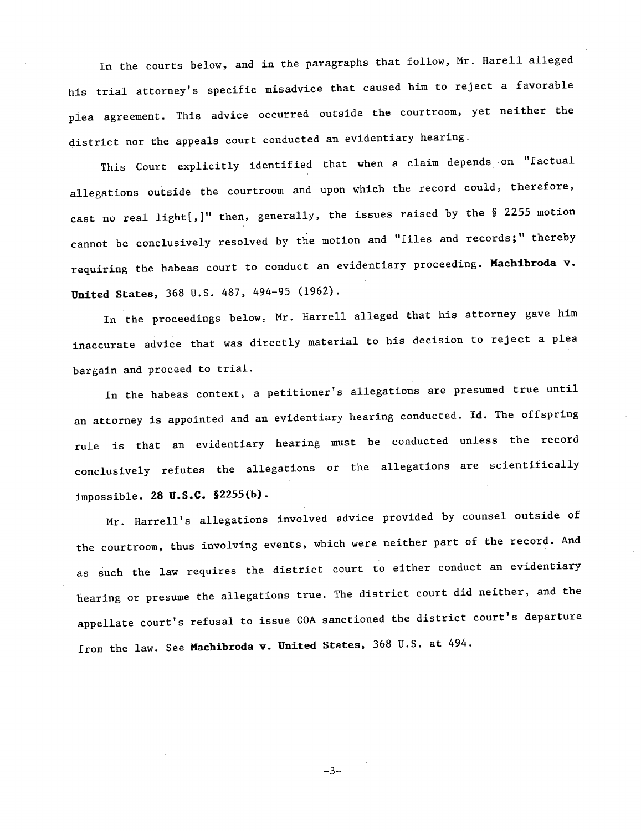In the courts below, and in the paragraphs that follow, Mr. Harell alleged his trial attorney's specific misadvice that caused him to reject a favorable plea agreement. This advice occurred outside the courtroom, yet neither the district nor the appeals court conducted an evidentiary hearing.

This Court explicitly identified that when a claim depends on "factual allegations outside the courtroom and upon which the record could, therefore, cast no real light[,]" then, generally, the issues raised by the § 2255 motion cannot be conclusively resolved by the motion and "files and records;" thereby requiring the habeas court to conduct an evidentiary proceeding. **Machibroda v.**  United States, 368 U.S. 487, 494-95 (1962).

In the proceedings below, Mr. Harrell alleged that his attorney gave him inaccurate advice that was directly material to his decision to reject a plea bargain and proceed to trial.

In the habeas context, a petitioner's allegations are presumed true until an attorney is appointed and an evidentiary hearing conducted. **Id.** The offspring rule is that an evidentiary hearing must be conducted unless the record conclusively refutes the allegations or the allegations are scientifically impossible. 28 **U.S.C. §2255(b).** 

Mr. Harrell's allegations involved advice provided by counsel outside of the courtroom, thus involving events, which were neither part of the record. And as such the law requires the district court to either conduct an evidentiary hearing or presume the allegations true. The district court did neither, and the appellate court's refusal to issue COA sanctioned the district court's departure from the law. See Machibroda v. **United States,** 368 U.S. at 494.

 $-3-$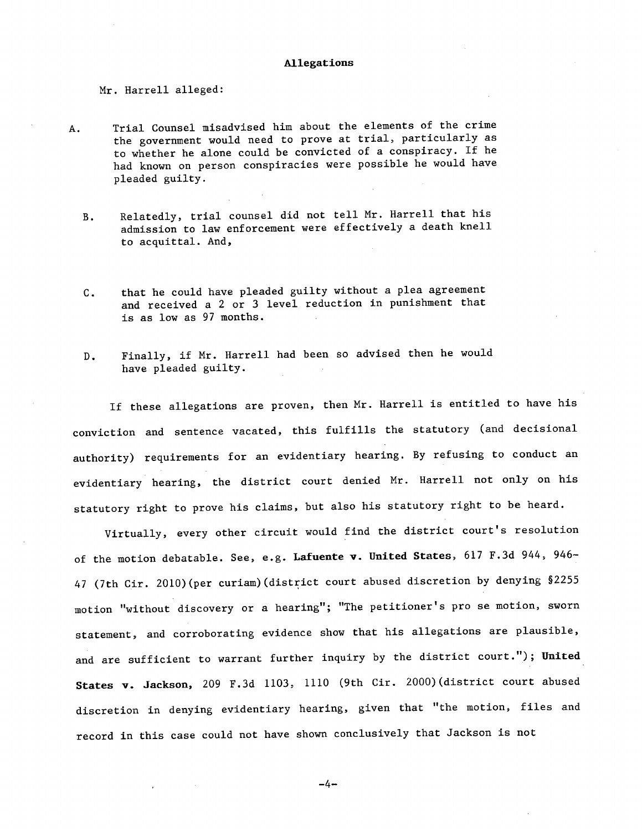#### Allegations

#### Mr. Harrell alleged:

- A. Trial Counsel misadvised him about the elements of the crime the government would need to prove at trial, particularly as to whether he alone could be convicted of a conspiracy. If he had known on person conspiracies were possible he would have pleaded guilty.
	- Relatedly, trial counsel did not tell Mr. Harrell that his  $B.$ admission to law enforcement were effectively a death knell to acquittal. And,
	- that he could have pleaded guilty without a plea agreement  $C_{\bullet}$ and received a 2 or 3 level reduction in punishment that is as low as 97 months.
	- Finally, if Mr. Harrell had been so advised then he would  $D.$ have pleaded guilty.

If these allegations are proven, then Mr. Harrell is entitled to have his conviction and sentence vacated, this fulfills the statutory (and decisional authority) requirements for an evidentiary hearing. By refusing to conduct an evidentiary hearing, the district court denied Mr. Harrell not only on his statutory right to prove his claims, but also his statutory right to be heard.

Virtually, every other circuit would find the district court's resolution of the motion debatable. See, e.g. **Lafuente v. United States,** 617 F.3d 944, 946- 47 (7th Cir. 2010)(per curiam)(district court abused discretion by denying §2255 motion "without discovery or a hearing"; "The petitioner's pro se motion, sworn statement, and corroborating evidence show that his allegations are plausible, and are sufficient to warrant further inquiry by the district court."); United States v. Jackson, 209 F.3d 1103, 1110 (9th Cir. 2000)(district court abused discretion in denying evidentiary hearing, given that "the motion, files and record in this case could not have shown conclusively that Jackson is not

-4-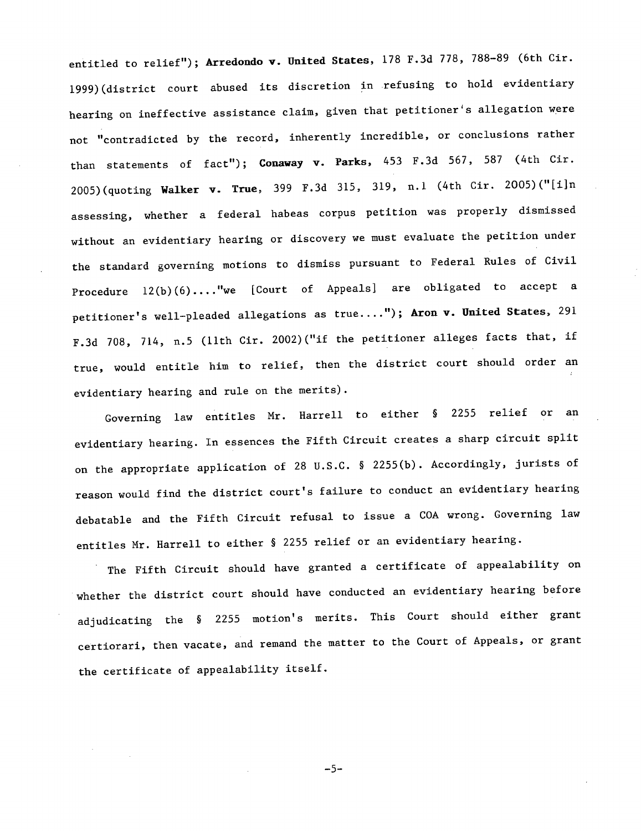entitled to relief"); **Arredondo v. United States,** 178 F.3d 778, 788-89 (6th Cir. 1999)(district court abused its discretion in refusing to hold evidentiary hearing on ineffective assistance claim, given that petitioner's allegation were not "contradicted by the record, inherently incredible, or conclusions rather than statements of fact"); Conaway v. Parks, 453 F.3d 567, 587 (4th Cir. 2005)(quoting Walker v. True, 399 F.3d 315, 319, n.1 (4th Cir. <sup>2</sup>005)("[i]n assessing, whether a federal habeas corpus petition was properly dismissed without an evidentiary hearing or discovery we must evaluate the petition under the standard governing motions to dismiss pursuant to Federal Rules of Civil Procedure 12(b)(6)... ."we [Court of Appeals] are obligated to accept a petitioner's well-pleaded allegations as true...."); **Aron v. United States,** <sup>291</sup> F.3d 708, 714, n.5 (11th Cir. 2002)("if the petitioner alleges facts that, if true, would entitle him to relief, then the district court should order an evidentiary hearing and rule on the merits).

Governing law entitles Mr. Harrell to either § 2255 relief or an evidentiary hearing. In essences the Fifth Circuit creates a sharp circuit split on the appropriate application of 28 U.S.C. § 2255(b). Accordingly, jurists of reason would find the district court's failure to conduct an evidentiary hearing debatable and the Fifth Circuit refusal to issue a COA wrong. Governing law entitles Mr. Harrell to either § 2255 relief or an evidentiary hearing.

The Fifth Circuit should have granted a certificate of appealability on whether the district court should have conducted an evidentiary hearing before adjudicating the § 2255 motion's merits. This Court should either grant certiorari, then vacate, and remand the matter to the Court of Appeals, or grant the certificate of appealability itself.

 $-5-$